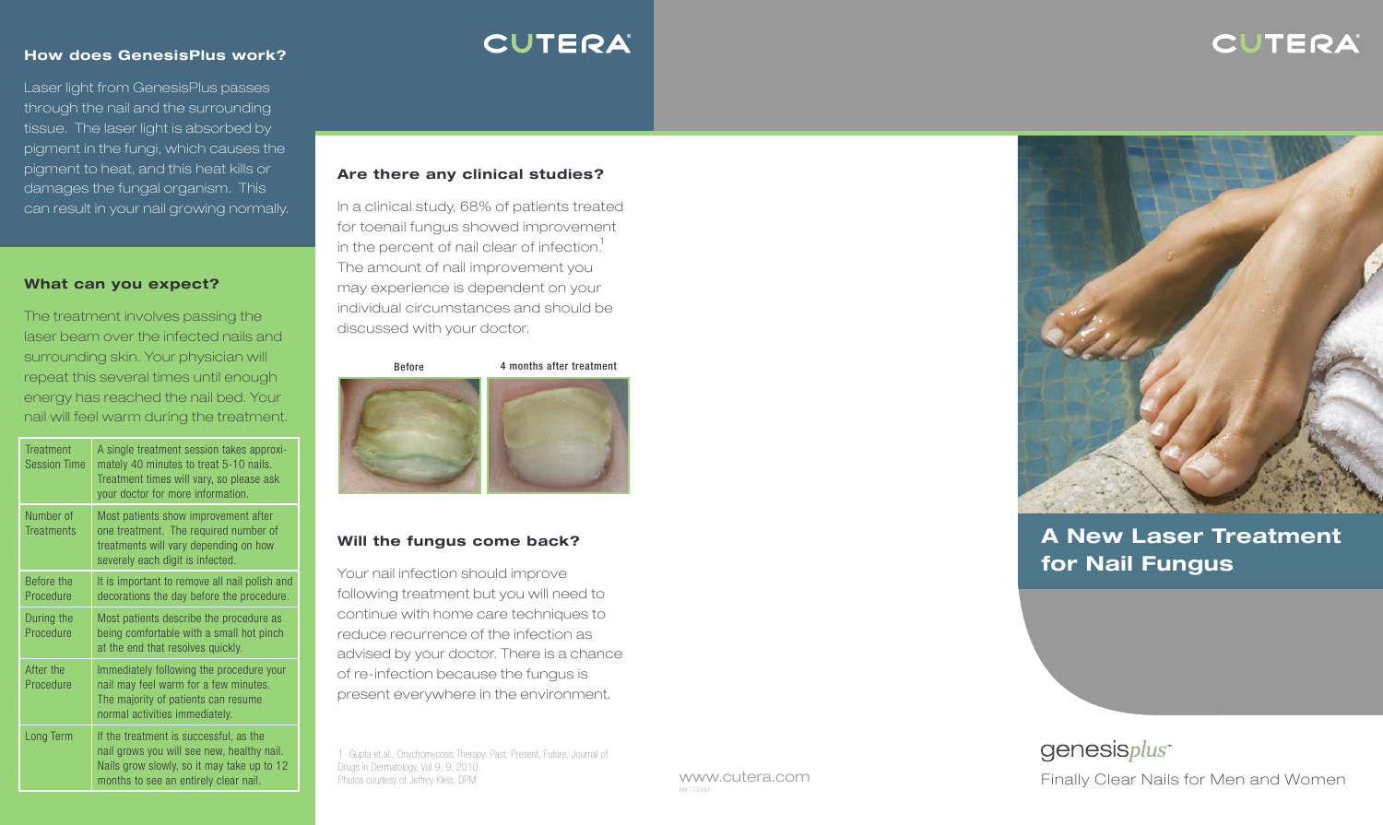### CUTERA

#### **How does GenesisPlus work?**

Laser light from GenesisPlus passes through the nail and the surrounding tissue. The laser light is absorbed by pigment in the fungi, which causes the pigment to heat, and this heat kills or damages the fungal organism. This can result in your nail growing normally.

### **What can you expect?**

The treatment involves passing the laser beam over the infected nails and surrounding skin. Your physician will repeat this several times until enough energy has reached the nail bed. Your nail will feel warm during the treatment.

| <b>Treatment</b><br><b>Session Time</b> | A single treatment session takes approxi-<br>mately 40 minutes to treat 5-10 nails.<br>Treatment times will vary, so please ask<br>your doctor for more information.        |
|-----------------------------------------|-----------------------------------------------------------------------------------------------------------------------------------------------------------------------------|
| Number of<br><b>Treatments</b>          | Most patients show improvement after<br>one treatment. The required number of<br>treatments will vary depending on how<br>severely each digit is infected.                  |
| Before the<br>Procedure                 | It is important to remove all nail polish and<br>decorations the day before the procedure.                                                                                  |
| During the<br>Procedure                 | Most patients describe the procedure as<br>being comfortable with a small hot pinch<br>at the end that resolves quickly.                                                    |
| After the<br>Procedure                  | Immediately following the procedure your<br>nail may feel warm for a few minutes.<br>The majority of patients can resume<br>normal activities immediately.                  |
| Long Term                               | If the treatment is successful, as the<br>nail grows you will see new, healthy nail.<br>Nails grow slowly, so it may take up to 12<br>months to see an entirely clear nail. |

## **CUTERA**

### **Are there any clinical studies?**

In a clinical study 68% of patients treated ,in the percent of nail clear of infection. $^{\rm 1}$ for toenail fungus showed improvement The amount of nail improvement you may experience is dependent on your individual circumstances and should be discussed with your doctor.

#### Before 4 months after treatment



### **Will the fungus come back?**

Your nail infection should improve following treatment but you will need to continue with home care techniques to reduce recurrence of the infection as advised by your doctor. There is a chance of re-infection because the fungus is present everywhere in the environment.

1 Gupta et.al., Onychomycosis Therapy: Past, Present, Future, Journal of Drugs in Dermatology, Vol.9, 9, 2010.

www.cutera.com MKT1038A



### **A New Laser Treatment for Nail Fungus**

genesisplus<sup>\*</sup> Photos courtesy of Jeffrey Kleis, DPM **Finally Clear Nails for Men and Women**